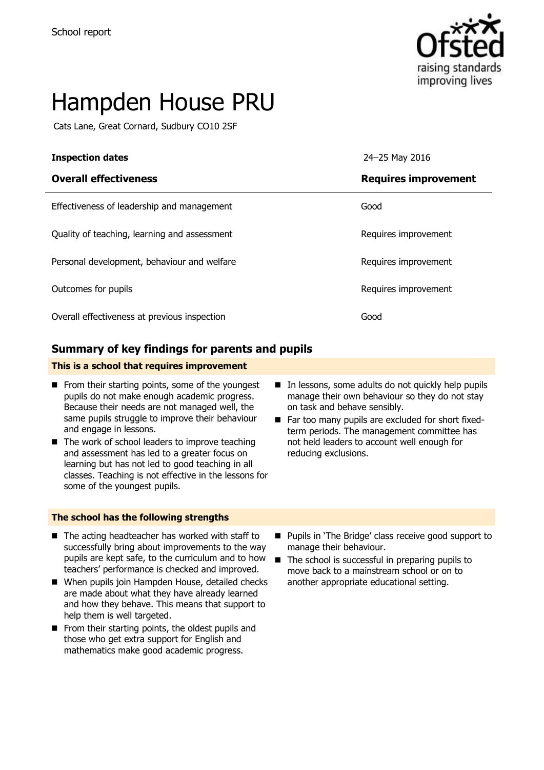

# Hampden House PRU

Cats Lane, Great Cornard, Sudbury CO10 2SF

| <b>Inspection dates</b>                      | 24-25 May 2016              |
|----------------------------------------------|-----------------------------|
| <b>Overall effectiveness</b>                 | <b>Requires improvement</b> |
| Effectiveness of leadership and management   | Good                        |
| Quality of teaching, learning and assessment | Requires improvement        |
| Personal development, behaviour and welfare  | Requires improvement        |
| Outcomes for pupils                          | Requires improvement        |
| Overall effectiveness at previous inspection | Good                        |

#### **Summary of key findings for parents and pupils**

#### **This is a school that requires improvement**

- $\blacksquare$  From their starting points, some of the youngest pupils do not make enough academic progress. Because their needs are not managed well, the same pupils struggle to improve their behaviour and engage in lessons.
- $\blacksquare$  The work of school leaders to improve teaching and assessment has led to a greater focus on learning but has not led to good teaching in all classes. Teaching is not effective in the lessons for some of the youngest pupils.
- In lessons, some adults do not quickly help pupils manage their own behaviour so they do not stay on task and behave sensibly. Far too many pupils are excluded for short fixed-
- term periods. The management committee has not held leaders to account well enough for reducing exclusions.

#### **The school has the following strengths**

- $\blacksquare$  The acting headteacher has worked with staff to successfully bring about improvements to the way pupils are kept safe, to the curriculum and to how teachers' performance is checked and improved.
- When pupils join Hampden House, detailed checks are made about what they have already learned and how they behave. This means that support to help them is well targeted.
- $\blacksquare$  From their starting points, the oldest pupils and those who get extra support for English and mathematics make good academic progress.
- **Pupils in 'The Bridge' class receive good support to** manage their behaviour.
- The school is successful in preparing pupils to move back to a mainstream school or on to another appropriate educational setting.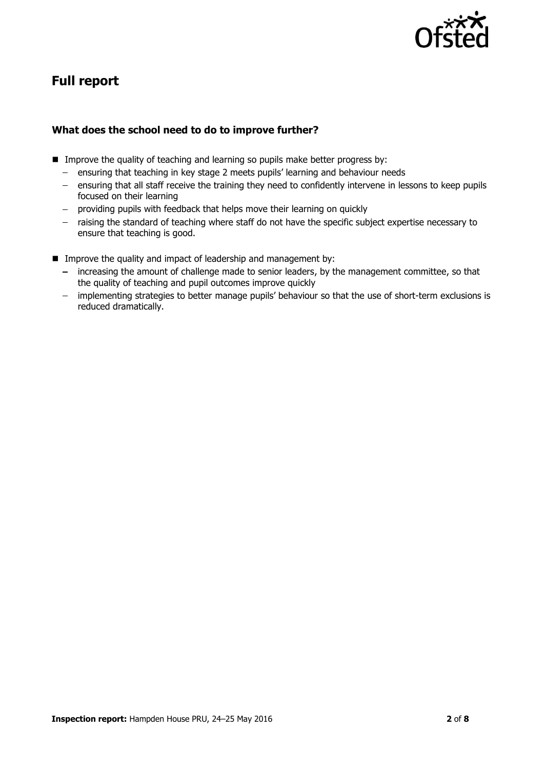

# **Full report**

#### **What does the school need to do to improve further?**

- **IMPROVE THE QUALICE OF THE AUTOMORY CONTROVERY IN THE IMAGE IN THE IMAGE IN THE IMAGE SUPPRES** 
	- ensuring that teaching in key stage 2 meets pupils' learning and behaviour needs
	- ensuring that all staff receive the training they need to confidently intervene in lessons to keep pupils focused on their learning
	- providing pupils with feedback that helps move their learning on quickly
	- raising the standard of teaching where staff do not have the specific subject expertise necessary to  $\frac{1}{2}$ ensure that teaching is good.
- Improve the quality and impact of leadership and management by:
	- increasing the amount of challenge made to senior leaders, by the management committee, so that the quality of teaching and pupil outcomes improve quickly
	- implementing strategies to better manage pupils' behaviour so that the use of short-term exclusions is reduced dramatically.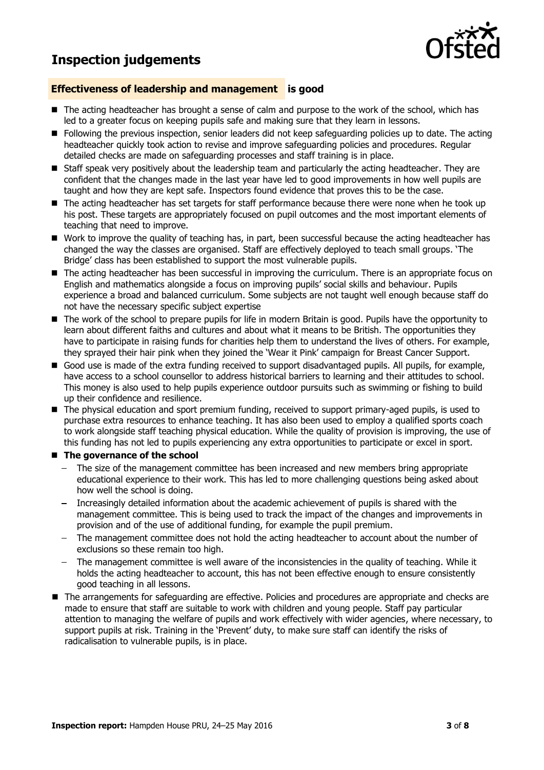## **Inspection judgements**



#### **Effectiveness of leadership and management is good**

- The acting headteacher has brought a sense of calm and purpose to the work of the school, which has led to a greater focus on keeping pupils safe and making sure that they learn in lessons.
- Following the previous inspection, senior leaders did not keep safeguarding policies up to date. The acting headteacher quickly took action to revise and improve safeguarding policies and procedures. Regular detailed checks are made on safeguarding processes and staff training is in place.
- Staff speak very positively about the leadership team and particularly the acting headteacher. They are confident that the changes made in the last year have led to good improvements in how well pupils are taught and how they are kept safe. Inspectors found evidence that proves this to be the case.
- The acting headteacher has set targets for staff performance because there were none when he took up his post. These targets are appropriately focused on pupil outcomes and the most important elements of teaching that need to improve.
- Work to improve the quality of teaching has, in part, been successful because the acting headteacher has changed the way the classes are organised. Staff are effectively deployed to teach small groups. 'The Bridge' class has been established to support the most vulnerable pupils.
- The acting headteacher has been successful in improving the curriculum. There is an appropriate focus on English and mathematics alongside a focus on improving pupils' social skills and behaviour. Pupils experience a broad and balanced curriculum. Some subjects are not taught well enough because staff do not have the necessary specific subject expertise
- The work of the school to prepare pupils for life in modern Britain is good. Pupils have the opportunity to learn about different faiths and cultures and about what it means to be British. The opportunities they have to participate in raising funds for charities help them to understand the lives of others. For example, they sprayed their hair pink when they joined the 'Wear it Pink' campaign for Breast Cancer Support.
- Good use is made of the extra funding received to support disadvantaged pupils. All pupils, for example, have access to a school counsellor to address historical barriers to learning and their attitudes to school. This money is also used to help pupils experience outdoor pursuits such as swimming or fishing to build up their confidence and resilience.
- The physical education and sport premium funding, received to support primary-aged pupils, is used to purchase extra resources to enhance teaching. It has also been used to employ a qualified sports coach to work alongside staff teaching physical education. While the quality of provision is improving, the use of this funding has not led to pupils experiencing any extra opportunities to participate or excel in sport.
- **The governance of the school** 
	- The size of the management committee has been increased and new members bring appropriate educational experience to their work. This has led to more challenging questions being asked about how well the school is doing.
	- Increasingly detailed information about the academic achievement of pupils is shared with the management committee. This is being used to track the impact of the changes and improvements in provision and of the use of additional funding, for example the pupil premium.
	- The management committee does not hold the acting headteacher to account about the number of exclusions so these remain too high.
	- The management committee is well aware of the inconsistencies in the quality of teaching. While it holds the acting headteacher to account, this has not been effective enough to ensure consistently good teaching in all lessons.
- The arrangements for safeguarding are effective. Policies and procedures are appropriate and checks are made to ensure that staff are suitable to work with children and young people. Staff pay particular attention to managing the welfare of pupils and work effectively with wider agencies, where necessary, to support pupils at risk. Training in the 'Prevent' duty, to make sure staff can identify the risks of radicalisation to vulnerable pupils, is in place.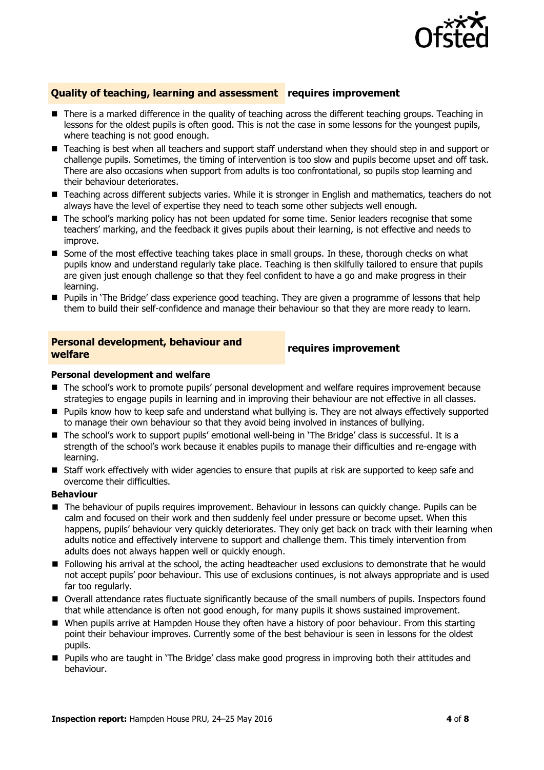

#### **Quality of teaching, learning and assessment requires improvement**

- There is a marked difference in the quality of teaching across the different teaching groups. Teaching in lessons for the oldest pupils is often good. This is not the case in some lessons for the youngest pupils, where teaching is not good enough.
- Teaching is best when all teachers and support staff understand when they should step in and support or challenge pupils. Sometimes, the timing of intervention is too slow and pupils become upset and off task. There are also occasions when support from adults is too confrontational, so pupils stop learning and their behaviour deteriorates.
- Teaching across different subjects varies. While it is stronger in English and mathematics, teachers do not always have the level of expertise they need to teach some other subjects well enough.
- The school's marking policy has not been updated for some time. Senior leaders recognise that some teachers' marking, and the feedback it gives pupils about their learning, is not effective and needs to improve.
- Some of the most effective teaching takes place in small groups. In these, thorough checks on what pupils know and understand regularly take place. Teaching is then skilfully tailored to ensure that pupils are given just enough challenge so that they feel confident to have a go and make progress in their learning.
- **Pupils in 'The Bridge' class experience good teaching. They are given a programme of lessons that help** them to build their self-confidence and manage their behaviour so that they are more ready to learn.

#### **Personal development, behaviour and welfare requires improvement**

#### **Personal development and welfare**

- The school's work to promote pupils' personal development and welfare requires improvement because strategies to engage pupils in learning and in improving their behaviour are not effective in all classes.
- **Pupils know how to keep safe and understand what bullying is. They are not always effectively supported** to manage their own behaviour so that they avoid being involved in instances of bullying.
- The school's work to support pupils' emotional well-being in 'The Bridge' class is successful. It is a strength of the school's work because it enables pupils to manage their difficulties and re-engage with learning.
- **Staff work effectively with wider agencies to ensure that pupils at risk are supported to keep safe and** overcome their difficulties.

#### **Behaviour**

- The behaviour of pupils requires improvement. Behaviour in lessons can quickly change. Pupils can be calm and focused on their work and then suddenly feel under pressure or become upset. When this happens, pupils' behaviour very quickly deteriorates. They only get back on track with their learning when adults notice and effectively intervene to support and challenge them. This timely intervention from adults does not always happen well or quickly enough.
- **F** Following his arrival at the school, the acting headteacher used exclusions to demonstrate that he would not accept pupils' poor behaviour. This use of exclusions continues, is not always appropriate and is used far too regularly.
- Overall attendance rates fluctuate significantly because of the small numbers of pupils. Inspectors found that while attendance is often not good enough, for many pupils it shows sustained improvement.
- When pupils arrive at Hampden House they often have a history of poor behaviour. From this starting point their behaviour improves. Currently some of the best behaviour is seen in lessons for the oldest pupils.
- Pupils who are taught in 'The Bridge' class make good progress in improving both their attitudes and behaviour.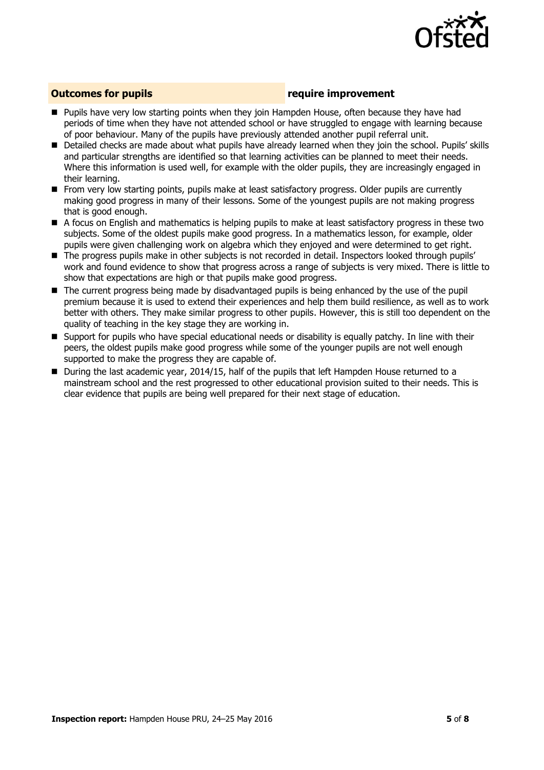

#### **Outcomes for pupils require improvement**

- **Pupils have very low starting points when they join Hampden House, often because they have had** periods of time when they have not attended school or have struggled to engage with learning because of poor behaviour. Many of the pupils have previously attended another pupil referral unit.
- Detailed checks are made about what pupils have already learned when they join the school. Pupils' skills and particular strengths are identified so that learning activities can be planned to meet their needs. Where this information is used well, for example with the older pupils, they are increasingly engaged in their learning.
- From very low starting points, pupils make at least satisfactory progress. Older pupils are currently making good progress in many of their lessons. Some of the youngest pupils are not making progress that is good enough.
- A focus on English and mathematics is helping pupils to make at least satisfactory progress in these two subjects. Some of the oldest pupils make good progress. In a mathematics lesson, for example, older pupils were given challenging work on algebra which they enjoyed and were determined to get right.
- The progress pupils make in other subjects is not recorded in detail. Inspectors looked through pupils' work and found evidence to show that progress across a range of subjects is very mixed. There is little to show that expectations are high or that pupils make good progress.
- The current progress being made by disadvantaged pupils is being enhanced by the use of the pupil premium because it is used to extend their experiences and help them build resilience, as well as to work better with others. They make similar progress to other pupils. However, this is still too dependent on the quality of teaching in the key stage they are working in.
- Support for pupils who have special educational needs or disability is equally patchy. In line with their peers, the oldest pupils make good progress while some of the younger pupils are not well enough supported to make the progress they are capable of.
- **During the last academic year, 2014/15, half of the pupils that left Hampden House returned to a** mainstream school and the rest progressed to other educational provision suited to their needs. This is clear evidence that pupils are being well prepared for their next stage of education.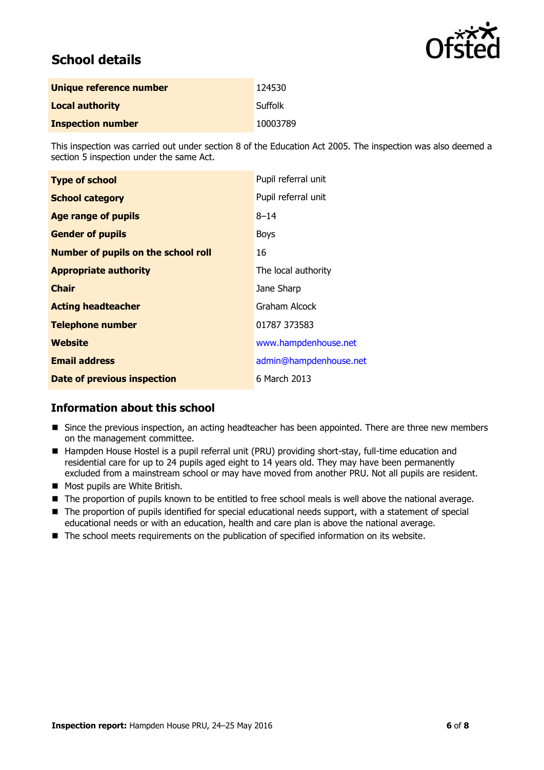

# **School details**

| Unique reference number  | 124530         |
|--------------------------|----------------|
| <b>Local authority</b>   | <b>Suffolk</b> |
| <b>Inspection number</b> | 10003789       |

This inspection was carried out under section 8 of the Education Act 2005. The inspection was also deemed a section 5 inspection under the same Act.

| <b>Type of school</b>                      | Pupil referral unit    |
|--------------------------------------------|------------------------|
| <b>School category</b>                     | Pupil referral unit    |
| <b>Age range of pupils</b>                 | $8 - 14$               |
| <b>Gender of pupils</b>                    | <b>Boys</b>            |
| <b>Number of pupils on the school roll</b> | 16                     |
| <b>Appropriate authority</b>               | The local authority    |
| <b>Chair</b>                               | Jane Sharp             |
| <b>Acting headteacher</b>                  | Graham Alcock          |
| <b>Telephone number</b>                    | 01787 373583           |
| Website                                    | www.hampdenhouse.net   |
| <b>Email address</b>                       | admin@hampdenhouse.net |
| Date of previous inspection                | 6 March 2013           |

#### **Information about this school**

- **Since the previous inspection, an acting headteacher has been appointed. There are three new members** on the management committee.
- Hampden House Hostel is a pupil referral unit (PRU) providing short-stay, full-time education and residential care for up to 24 pupils aged eight to 14 years old. They may have been permanently excluded from a mainstream school or may have moved from another PRU. Not all pupils are resident.
- Most pupils are White British.
- The proportion of pupils known to be entitled to free school meals is well above the national average.
- The proportion of pupils identified for special educational needs support, with a statement of special educational needs or with an education, health and care plan is above the national average.
- The school meets requirements on the publication of specified information on its website.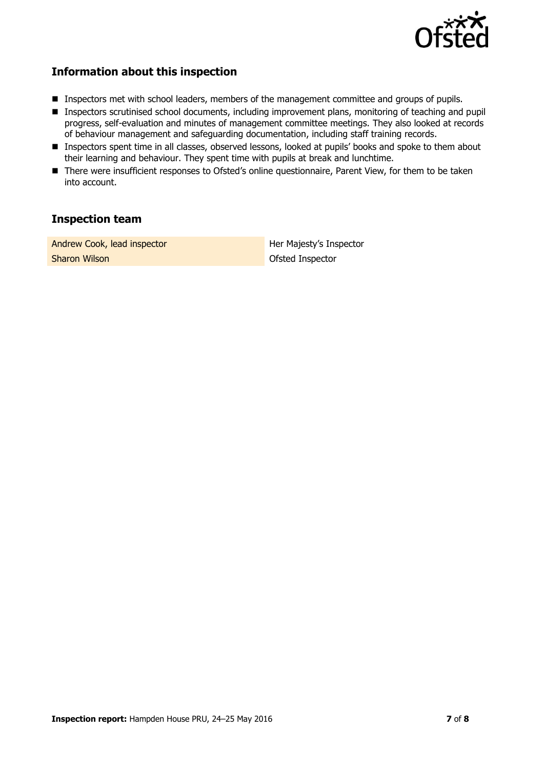

#### **Information about this inspection**

- **Inspectors met with school leaders, members of the management committee and groups of pupils.**
- Inspectors scrutinised school documents, including improvement plans, monitoring of teaching and pupil progress, self-evaluation and minutes of management committee meetings. They also looked at records of behaviour management and safeguarding documentation, including staff training records.
- **Inspectors spent time in all classes, observed lessons, looked at pupils' books and spoke to them about** their learning and behaviour. They spent time with pupils at break and lunchtime.
- There were insufficient responses to Ofsted's online questionnaire, Parent View, for them to be taken into account.

### **Inspection team**

Andrew Cook, lead inspector **Her Majesty's Inspector Sharon Wilson Ofsted Inspector**